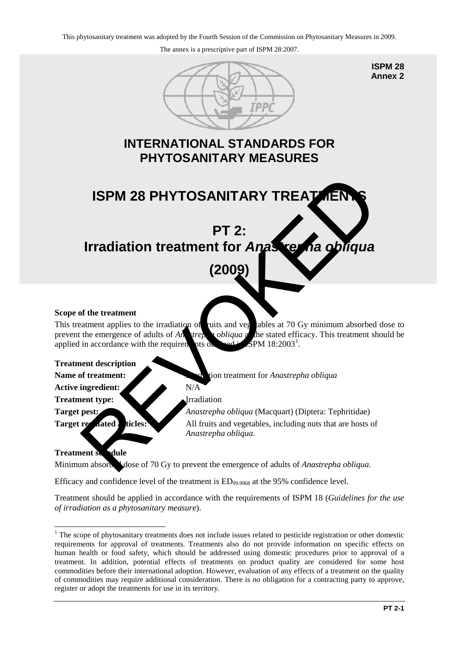

**ISPM 28 Annex 2**

# **INTERNATIONAL STANDARDS FOR PHYTOSANITARY MEASURES**



# **Irradiation treatment for** *Anastrepha obliqua*

## **(2009)**

### **Scope of the treatment**

This treatment applies to the irradiation of ruits and veg ables at 70 Gy minimum absorbed dose to prevent the emergence of adults of *Anastrepha obliqua* at the stated efficacy. This treatment should be applied in accordance with the requirements of  $SPM 18:2003<sup>1</sup>$ .

**Treatment description**

Active ingredient: N/A

**Treatment type:** Irradiation

**Name of treatment:** Integration treatment for *Anastrepha obliqua* 

**Target pest:** *Anastrepha obliqua* (Macquart) (Diptera: Tephritidae) **Target regulated:** ticles: All fruits and vegetables, including nuts that are hosts of *Anastrepha obliqua*.

## **Treatment stradule**

Minimum absorbed dose of 70 Gy to prevent the emergence of adults of *Anastrepha obliqua*.

Efficacy and confidence level of the treatment is  $ED_{99.9968}$  at the 95% confidence level.

Treatment should be applied in accordance with the requirements of ISPM 18 (*Guidelines for the use of irradiation as a phytosanitary measure*).

<span id="page-0-0"></span><sup>&</sup>lt;u>.</u> <sup>1</sup> The scope of phytosanitary treatments does not include issues related to pesticide registration or other domestic requirements for approval of treatments. Treatments also do not provide information on specific effects on human health or food safety, which should be addressed using domestic procedures prior to approval of a treatment. In addition, potential effects of treatments on product quality are considered for some host commodities before their international adoption. However, evaluation of any effects of a treatment on the quality of commodities may require additional consideration. There is no obligation for a contracting party to approve, register or adopt the treatments for use in its territory.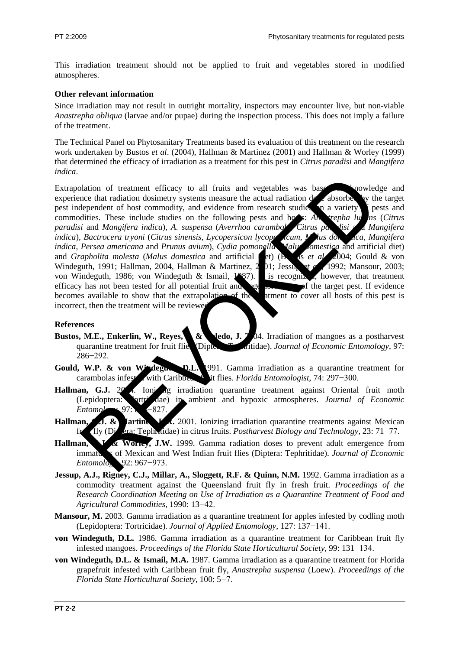This irradiation treatment should not be applied to fruit and vegetables stored in modified atmospheres.

#### **Other relevant information**

Since irradiation may not result in outright mortality, inspectors may encounter live, but non-viable *Anastrepha obliqua* (larvae and/or pupae) during the inspection process. This does not imply a failure of the treatment.

The Technical Panel on Phytosanitary Treatments based its evaluation of this treatment on the research work undertaken by Bustos *et al*. (2004), Hallman & Martinez (2001) and Hallman & Worley (1999) that determined the efficacy of irradiation as a treatment for this pest in *Citrus paradisi* and *Mangifera indica*.

Extrapolation of treatment efficacy to all fruits and vegetables was based on knowledge and experience that radiation dosimetry systems measure the actual radiation dose absorbed by the target pest independent of host commodity, and evidence from research studies of a variety pests and pest independent of host commodity, and evidence from research studies on a variety pests and commodities. These include studies on the following pests and host: And trepha lu ns (Citrus commodities. These include studies on the following pests and hots: *Analyeigha lums* (*Citrus paradisi* and *Mangifera indica*), *A. suspensa* (*Averrhoa carambola*, *Citrus paradisi* and *Mangifera indica*), *Bactrocera tryoni* (*Citrus sinensis*, *Lycopersicon lycope dcum*, *Malus domestica*, *Mangifera indica*, *Persea americana* and *Prunus avium*), *Cydia pomonella* (*Malus domestica* and artificial diet) and *Grapholita molesta* (*Malus domestica* and artificial et) (**Bustos** *et al.*, 2004; Gould & von Windeguth, 1991; Hallman, 2004, Hallman & Martinez, 201; Jessup *et a* 1992; Mansour, 2003; von Windeguth, 1986; von Windeguth & Ismail,  $1987$ ). It is recognized, however, that treatment efficacy has not been tested for all potential fruit and  $\log_{\theta}$  of the target pest. If evidence becomes available to show that the extrapolation of the atment to cover all hosts of this pest is incorrect, then the treatment will be reviewed. alation of treatment efficecy to all finits and vegetables was based move<br>
the the tradiation dosimetry systems measure the actual radiation of absorber with<br>
dependent of host commonling, and evidence from research studi

#### **References**

- **Bustos, M.E., Enkerlin, W., Reyes, J. & Jedo, J. 2004.** Irradiation of mangoes as a postharvest quarantine treatment for fruit flies (Diptera: Tephritidae). *Journal of Economic Entomology*, 97: 286−292.
- Gould, W.P. & von Windegund, D.L. 1991. Gamma irradiation as a quarantine treatment for carambolas infested with Caribbean fruit flies. *Florida Entomologist*, 74: 297−300.
- **Hallman, G.J.** 2004. Ionizing irradiation quarantine treatment against Oriental fruit moth (Lepidoptera: Tortricidae) in ambient and hypoxic atmospheres. *Journal of Economic Entomology*, 97: 8−827.
- Hallman, J. & **Iartine J.** 2001. Ionizing irradiation quarantine treatments against Mexican fruit fly (Diptera: Tephritidae) in citrus fruits. *Postharvest Biology and Technology*, 23: 71−77.
- Hallman, G.W. World, J.W. 1999. Gamma radiation doses to prevent adult emergence from immatures of Mexican and West Indian fruit flies (Diptera: Tephritidae). *Journal of Economic Entomology*, 92: 967−973.
- Jessup, A.J., Rigney, C.J., Millar, A., Sloggett, R.F. & Quinn, N.M. 1992. Gamma irradiation as a commodity treatment against the Queensland fruit fly in fresh fruit. *Proceedings of the Research Coordination Meeting on Use of Irradiation as a Quarantine Treatment of Food and Agricultural Commodities*, 1990: 13−42.
- **Mansour, M.** 2003. Gamma irradiation as a quarantine treatment for apples infested by codling moth (Lepidoptera: Tortricidae). *Journal of Applied Entomology*, 127: 137−141.
- **von Windeguth, D.L.** 1986. Gamma irradiation as a quarantine treatment for Caribbean fruit fly infested mangoes. *Proceedings of the Florida State Horticultural Society*, 99: 131−134.
- **von Windeguth, D.L. & Ismail, M.A.** 1987. Gamma irradiation as a quarantine treatment for Florida grapefruit infested with Caribbean fruit fly, *Anastrepha suspensa* (Loew). *Proceedings of the Florida State Horticultural Society*, 100: 5−7.